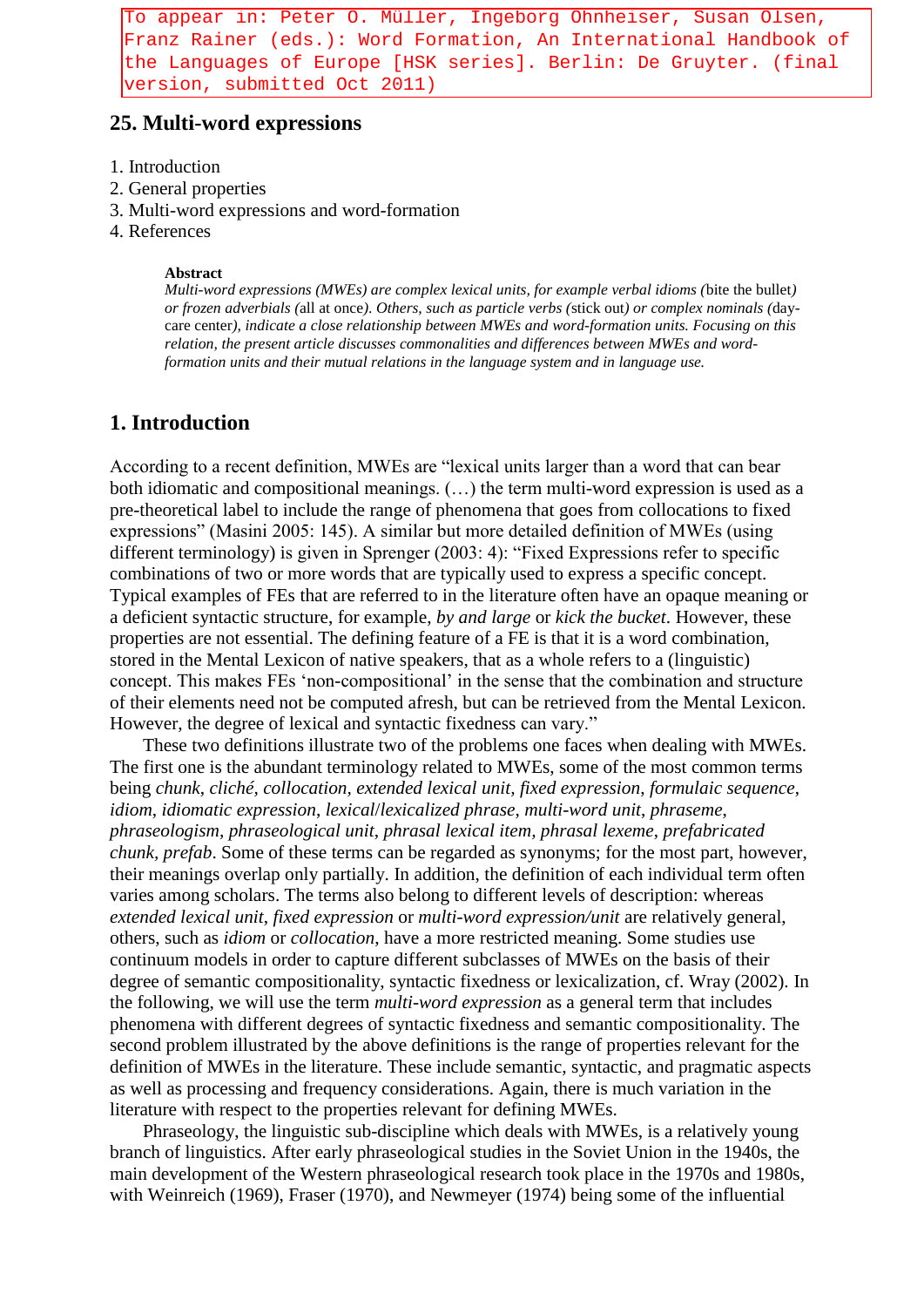```
1
the Languages of Europe [HSK series]. Berlin: De Gruyter. (final 
To appear in: Peter O. Müller, Ingeborg Ohnheiser, Susan Olsen, 
Franz Rainer (eds.): Word Formation, An International Handbook of 
version, submitted Oct 2011)
```
# **25. Multi-word expressions**

- 1. Introduction
- 2. General properties
- 3. Multi-word expressions and word-formation
- 4. References

#### **Abstract**

*Multi-word expressions (MWEs) are complex lexical units, for example verbal idioms (*bite the bullet*) or frozen adverbials (*all at once*)*. *Others*, *such as particle verbs (*stick out*) or complex nominals (*daycare center*), indicate a close relationship between MWEs and word-formation units. Focusing on this relation, the present article discusses commonalities and differences between MWEs and wordformation units and their mutual relations in the language system and in language use.*

# **1. Introduction**

According to a recent definition, MWEs are "lexical units larger than a word that can bear both idiomatic and compositional meanings. (…) the term multi-word expression is used as a pre-theoretical label to include the range of phenomena that goes from collocations to fixed expressions" (Masini 2005: 145). A similar but more detailed definition of MWEs (using different terminology) is given in Sprenger (2003: 4): "Fixed Expressions refer to specific combinations of two or more words that are typically used to express a specific concept. Typical examples of FEs that are referred to in the literature often have an opaque meaning or a deficient syntactic structure, for example, *by and large* or *kick the bucket*. However, these properties are not essential. The defining feature of a FE is that it is a word combination, stored in the Mental Lexicon of native speakers, that as a whole refers to a (linguistic) concept. This makes FEs "non-compositional" in the sense that the combination and structure of their elements need not be computed afresh, but can be retrieved from the Mental Lexicon. However, the degree of lexical and syntactic fixedness can vary."

These two definitions illustrate two of the problems one faces when dealing with MWEs. The first one is the abundant terminology related to MWEs, some of the most common terms being *chunk*, *cliché, collocation, extended lexical unit, fixed expression*, *formulaic sequence*, *idiom*, *idiomatic expression*, *lexical*/*lexicalized phrase*, *multi*-*word unit*, *phraseme*, *phraseologism, phraseological unit*, *phrasal lexical item, phrasal lexeme*, *prefabricated chunk, prefab*. Some of these terms can be regarded as synonyms; for the most part, however, their meanings overlap only partially. In addition, the definition of each individual term often varies among scholars. The terms also belong to different levels of description: whereas *extended lexical unit*, *fixed expression* or *multi-word expression/unit* are relatively general, others, such as *idiom* or *collocation*, have a more restricted meaning. Some studies use continuum models in order to capture different subclasses of MWEs on the basis of their degree of semantic compositionality, syntactic fixedness or lexicalization, cf. Wray (2002). In the following, we will use the term *multi-word expression* as a general term that includes phenomena with different degrees of syntactic fixedness and semantic compositionality. The second problem illustrated by the above definitions is the range of properties relevant for the definition of MWEs in the literature. These include semantic, syntactic, and pragmatic aspects as well as processing and frequency considerations. Again, there is much variation in the literature with respect to the properties relevant for defining MWEs.

Phraseology, the linguistic sub-discipline which deals with MWEs, is a relatively young branch of linguistics. After early phraseological studies in the Soviet Union in the 1940s, the main development of the Western phraseological research took place in the 1970s and 1980s, with Weinreich (1969), Fraser (1970), and Newmeyer (1974) being some of the influential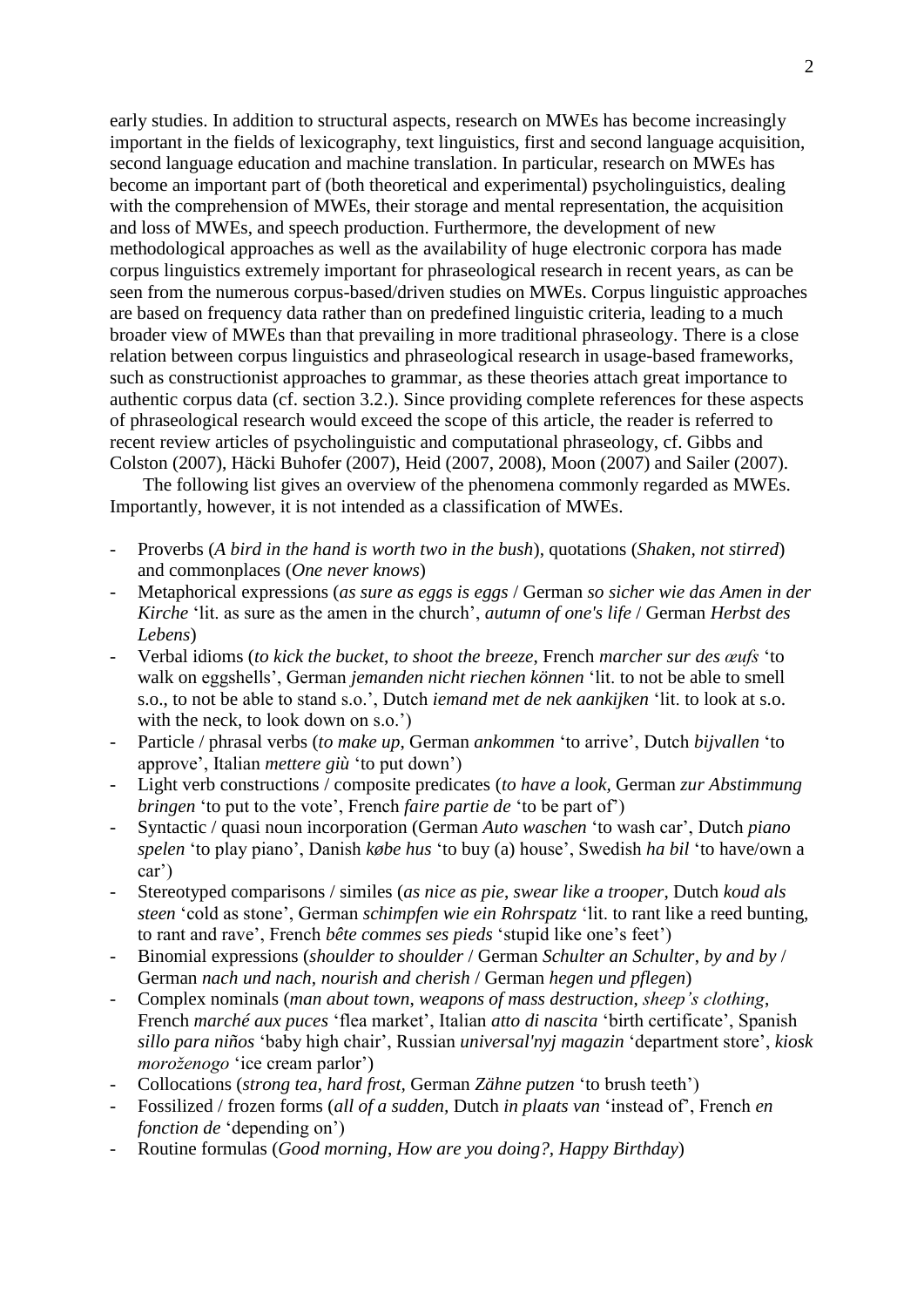early studies. In addition to structural aspects, research on MWEs has become increasingly important in the fields of lexicography, text linguistics, first and second language acquisition, second language education and machine translation. In particular, research on MWEs has become an important part of (both theoretical and experimental) psycholinguistics, dealing with the comprehension of MWEs, their storage and mental representation, the acquisition and loss of MWEs, and speech production. Furthermore, the development of new methodological approaches as well as the availability of huge electronic corpora has made corpus linguistics extremely important for phraseological research in recent years, as can be seen from the numerous corpus-based/driven studies on MWEs. Corpus linguistic approaches are based on frequency data rather than on predefined linguistic criteria, leading to a much broader view of MWEs than that prevailing in more traditional phraseology. There is a close relation between corpus linguistics and phraseological research in usage-based frameworks, such as constructionist approaches to grammar, as these theories attach great importance to authentic corpus data (cf. section 3.2.). Since providing complete references for these aspects of phraseological research would exceed the scope of this article, the reader is referred to recent review articles of psycholinguistic and computational phraseology, cf. Gibbs and Colston (2007), Häcki Buhofer (2007), Heid (2007, 2008), Moon (2007) and Sailer (2007).

The following list gives an overview of the phenomena commonly regarded as MWEs. Importantly, however, it is not intended as a classification of MWEs.

- Proverbs (*A bird in the hand is worth two in the bush*), quotations (*Shaken, not stirred*) and commonplaces (*One never knows*)
- Metaphorical expressions (*as sure as eggs is eggs* / German *so sicher wie das Amen in der Kirche* "lit. as sure as the amen in the church", *autumn of one's life* / German *Herbst des Lebens*)
- Verbal idioms (*to kick the bucket*, *to shoot the breeze*, French *marcher sur des œufs* "to walk on eggshells", German *jemanden nicht riechen können* "lit. to not be able to smell s.o., to not be able to stand s.o.", Dutch *iemand met de nek aankijken* "lit. to look at s.o. with the neck, to look down on s.o.')
- Particle / phrasal verbs (*to make up*, German *ankommen* "to arrive", Dutch *bijvallen* "to approve", Italian *mettere giù* "to put down")
- Light verb constructions / composite predicates (*to have a look,* German *zur Abstimmung bringen* 'to put to the vote', French *faire partie de* 'to be part of')
- Syntactic / quasi noun incorporation (German *Auto waschen* "to wash car", Dutch *piano spelen* "to play piano", Danish *købe hus* "to buy (a) house", Swedish *ha bil* "to have/own a car")
- Stereotyped comparisons / similes (*as nice as pie*, *swear like a trooper*, Dutch *koud als steen* "cold as stone", German *schimpfen wie ein Rohrspatz* "lit. to rant like a reed bunting, to rant and rave", French *bête commes ses pieds* "stupid like one"s feet")
- Binomial expressions (*shoulder to shoulder* / German *Schulter an Schulter*, *by and by* / German *nach und nach*, *nourish and cherish* / German *hegen und pflegen*)
- Complex nominals (*man about town*, *weapons of mass destruction*, *sheep's clothing*, French *marché aux puces* "flea market", Italian *atto di nascita* "birth certificate", Spanish *sillo para niños* "baby high chair", Russian *universal'nyj magazin* "department store", *kiosk moroženogo* "ice cream parlor")
- Collocations (*strong tea*, *hard frost,* German *Zähne putzen* "to brush teeth")
- Fossilized / frozen forms (*all of a sudden,* Dutch *in plaats van* "instead of", French *en fonction de* 'depending on')
- Routine formulas (*Good morning*, *How are you doing?, Happy Birthday*)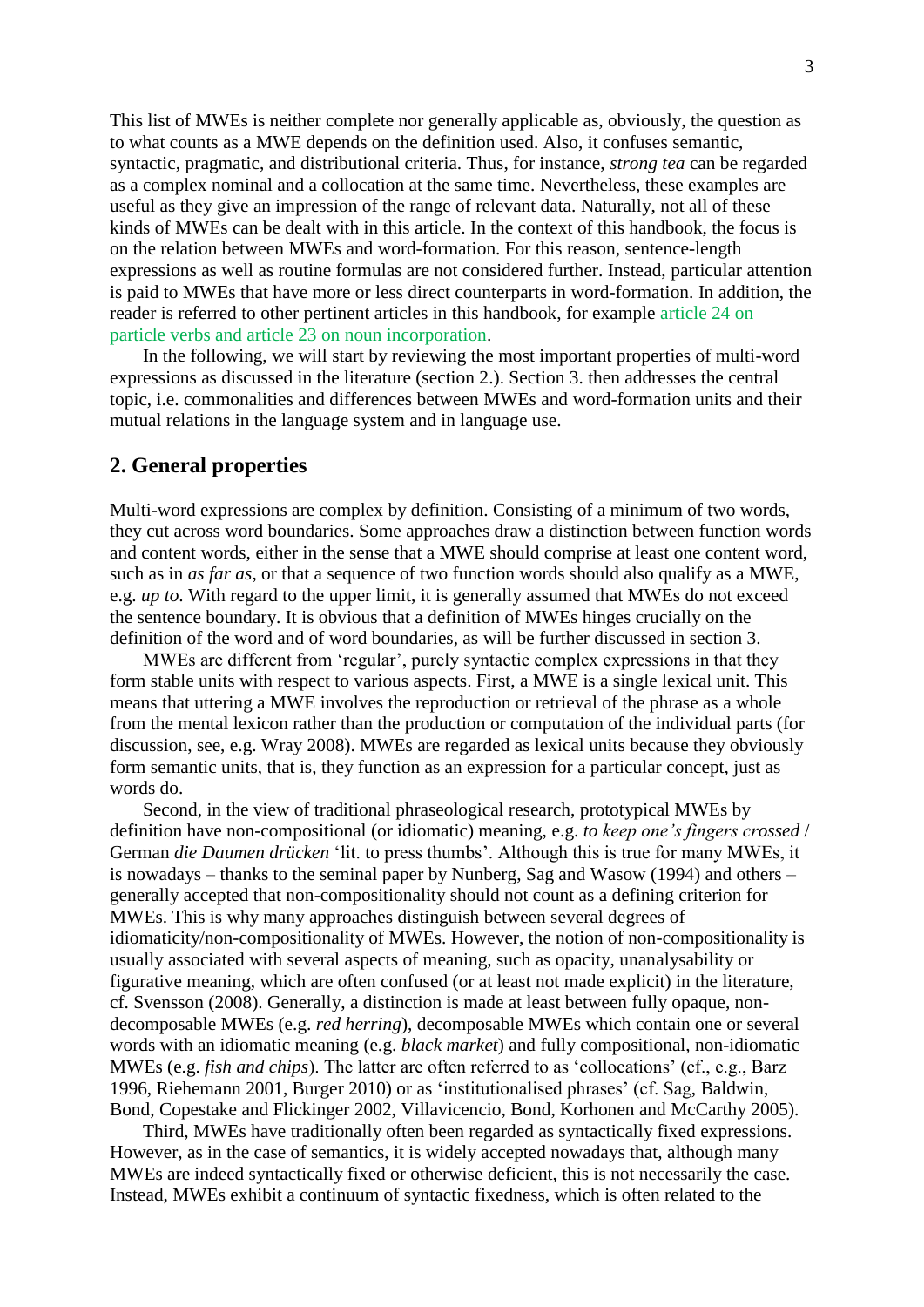This list of MWEs is neither complete nor generally applicable as, obviously, the question as to what counts as a MWE depends on the definition used. Also, it confuses semantic, syntactic, pragmatic, and distributional criteria. Thus, for instance, *strong tea* can be regarded as a complex nominal and a collocation at the same time. Nevertheless, these examples are useful as they give an impression of the range of relevant data. Naturally, not all of these kinds of MWEs can be dealt with in this article. In the context of this handbook, the focus is on the relation between MWEs and word-formation. For this reason, sentence-length expressions as well as routine formulas are not considered further. Instead, particular attention is paid to MWEs that have more or less direct counterparts in word-formation. In addition, the reader is referred to other pertinent articles in this handbook, for example article 24 on particle verbs and article 23 on noun incorporation.

In the following, we will start by reviewing the most important properties of multi-word expressions as discussed in the literature (section 2.). Section 3. then addresses the central topic, i.e. commonalities and differences between MWEs and word-formation units and their mutual relations in the language system and in language use.

### **2. General properties**

Multi-word expressions are complex by definition. Consisting of a minimum of two words, they cut across word boundaries. Some approaches draw a distinction between function words and content words, either in the sense that a MWE should comprise at least one content word, such as in *as far as*, or that a sequence of two function words should also qualify as a MWE, e.g. *up to*. With regard to the upper limit, it is generally assumed that MWEs do not exceed the sentence boundary. It is obvious that a definition of MWEs hinges crucially on the definition of the word and of word boundaries, as will be further discussed in section 3.

MWEs are different from "regular", purely syntactic complex expressions in that they form stable units with respect to various aspects. First, a MWE is a single lexical unit. This means that uttering a MWE involves the reproduction or retrieval of the phrase as a whole from the mental lexicon rather than the production or computation of the individual parts (for discussion, see, e.g. Wray 2008). MWEs are regarded as lexical units because they obviously form semantic units, that is, they function as an expression for a particular concept, just as words do.

Second, in the view of traditional phraseological research, prototypical MWEs by definition have non-compositional (or idiomatic) meaning, e.g. *to keep one's fingers crossed* / German *die Daumen drücken* "lit. to press thumbs". Although this is true for many MWEs, it is nowadays – thanks to the seminal paper by Nunberg, Sag and Wasow (1994) and others – generally accepted that non-compositionality should not count as a defining criterion for MWEs. This is why many approaches distinguish between several degrees of idiomaticity/non-compositionality of MWEs. However, the notion of non-compositionality is usually associated with several aspects of meaning, such as opacity, unanalysability or figurative meaning, which are often confused (or at least not made explicit) in the literature, cf. Svensson (2008). Generally, a distinction is made at least between fully opaque, nondecomposable MWEs (e.g. *red herring*), decomposable MWEs which contain one or several words with an idiomatic meaning (e.g. *black market*) and fully compositional, non-idiomatic MWEs (e.g. *fish and chips*). The latter are often referred to as "collocations" (cf., e.g., Barz 1996, Riehemann 2001, Burger 2010) or as "institutionalised phrases" (cf. Sag, Baldwin, Bond, Copestake and Flickinger 2002, Villavicencio, Bond, Korhonen and McCarthy 2005).

Third, MWEs have traditionally often been regarded as syntactically fixed expressions. However, as in the case of semantics, it is widely accepted nowadays that, although many MWEs are indeed syntactically fixed or otherwise deficient, this is not necessarily the case. Instead, MWEs exhibit a continuum of syntactic fixedness, which is often related to the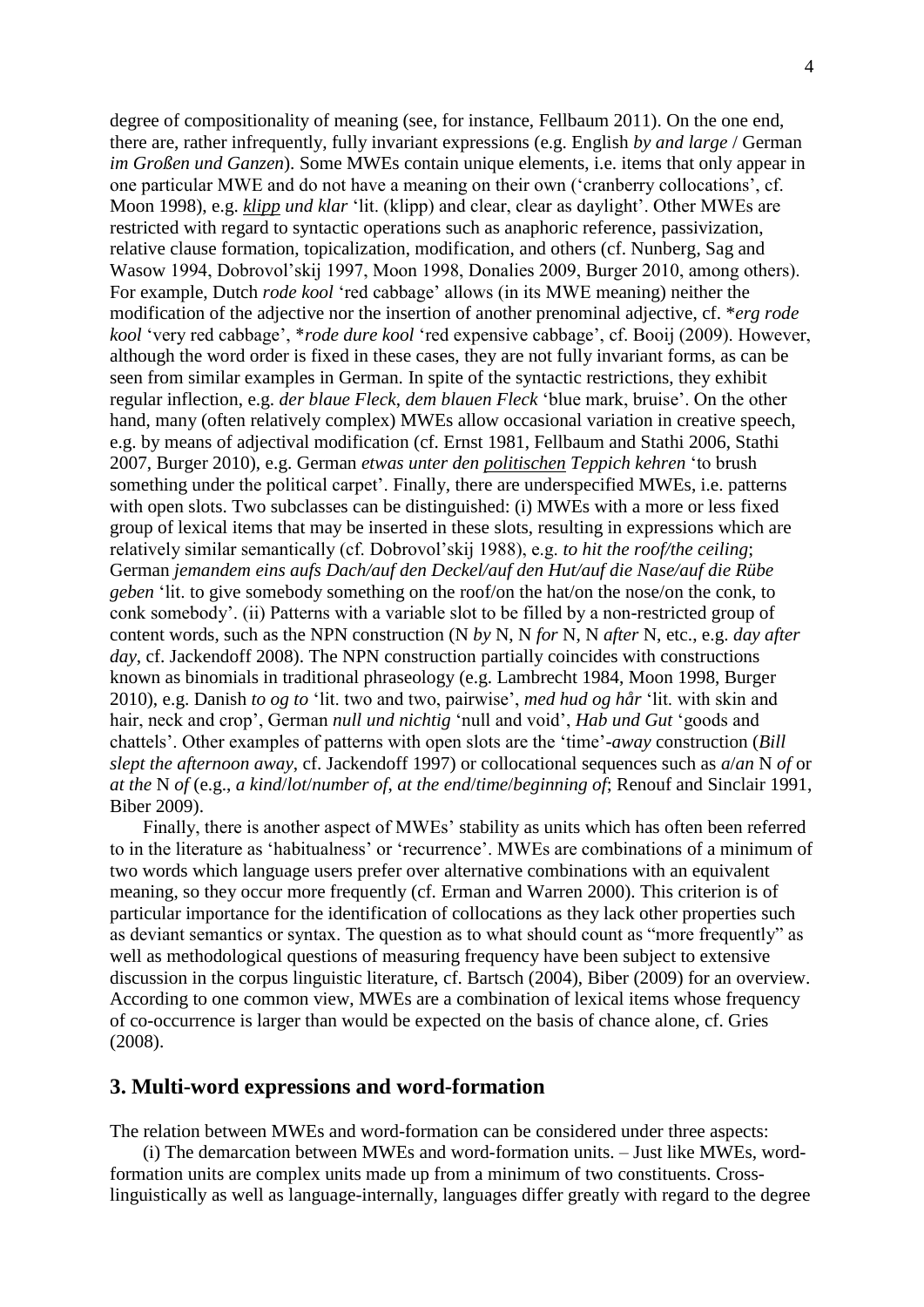degree of compositionality of meaning (see, for instance, Fellbaum 2011). On the one end, there are, rather infrequently, fully invariant expressions (e.g. English *by and large* / German *im Großen und Ganzen*). Some MWEs contain unique elements, i.e. items that only appear in one particular MWE and do not have a meaning on their own ("cranberry collocations", cf. Moon 1998), e.g. *klipp und klar* "lit. (klipp) and clear, clear as daylight". Other MWEs are restricted with regard to syntactic operations such as anaphoric reference, passivization, relative clause formation, topicalization, modification, and others (cf. Nunberg, Sag and Wasow 1994, Dobrovol"skij 1997, Moon 1998, Donalies 2009, Burger 2010, among others). For example, Dutch *rode kool* 'red cabbage' allows (in its MWE meaning) neither the modification of the adjective nor the insertion of another prenominal adjective, cf. \**erg rode kool* "very red cabbage", \**rode dure kool* "red expensive cabbage", cf. Booij (2009). However, although the word order is fixed in these cases, they are not fully invariant forms, as can be seen from similar examples in German. In spite of the syntactic restrictions, they exhibit regular inflection, e.g. *der blaue Fleck*, *dem blauen Fleck* "blue mark, bruise". On the other hand, many (often relatively complex) MWEs allow occasional variation in creative speech, e.g. by means of adjectival modification (cf. Ernst 1981, Fellbaum and Stathi 2006, Stathi 2007, Burger 2010), e.g. German *etwas unter den politischen Teppich kehren* "to brush something under the political carpet'. Finally, there are underspecified MWEs, i.e. patterns with open slots. Two subclasses can be distinguished: (i) MWEs with a more or less fixed group of lexical items that may be inserted in these slots, resulting in expressions which are relatively similar semantically (cf. Dobrovol"skij 1988), e.g. *to hit the roof/the ceiling*; German *jemandem eins aufs Dach/auf den Deckel/auf den Hut/auf die Nase/auf die Rübe geben* "lit. to give somebody something on the roof/on the hat/on the nose/on the conk, to conk somebody". (ii) Patterns with a variable slot to be filled by a non-restricted group of content words, such as the NPN construction (N *by* N, N *for* N, N *after* N, etc., e.g. *day after day*, cf. Jackendoff 2008). The NPN construction partially coincides with constructions known as binomials in traditional phraseology (e.g. Lambrecht 1984, Moon 1998, Burger 2010), e.g. Danish *to og to* "lit. two and two, pairwise", *med hud og hår* "lit. with skin and hair, neck and crop", German *null und nichtig* "null and void", *Hab und Gut* "goods and chattels". Other examples of patterns with open slots are the "time"-*away* construction (*Bill slept the afternoon away*, cf. Jackendoff 1997) or collocational sequences such as *a*/*an* N *of* or *at the* N *of* (e.g., *a kind*/*lot*/*number of*, *at the end*/*time*/*beginning of*; Renouf and Sinclair 1991, Biber 2009).

Finally, there is another aspect of MWEs' stability as units which has often been referred to in the literature as "habitualness" or "recurrence". MWEs are combinations of a minimum of two words which language users prefer over alternative combinations with an equivalent meaning, so they occur more frequently (cf. Erman and Warren 2000). This criterion is of particular importance for the identification of collocations as they lack other properties such as deviant semantics or syntax. The question as to what should count as "more frequently" as well as methodological questions of measuring frequency have been subject to extensive discussion in the corpus linguistic literature, cf. Bartsch (2004), Biber (2009) for an overview. According to one common view, MWEs are a combination of lexical items whose frequency of co-occurrence is larger than would be expected on the basis of chance alone, cf. Gries (2008).

### **3. Multi-word expressions and word-formation**

The relation between MWEs and word-formation can be considered under three aspects:

(i) The demarcation between MWEs and word-formation units. – Just like MWEs, wordformation units are complex units made up from a minimum of two constituents. Crosslinguistically as well as language-internally, languages differ greatly with regard to the degree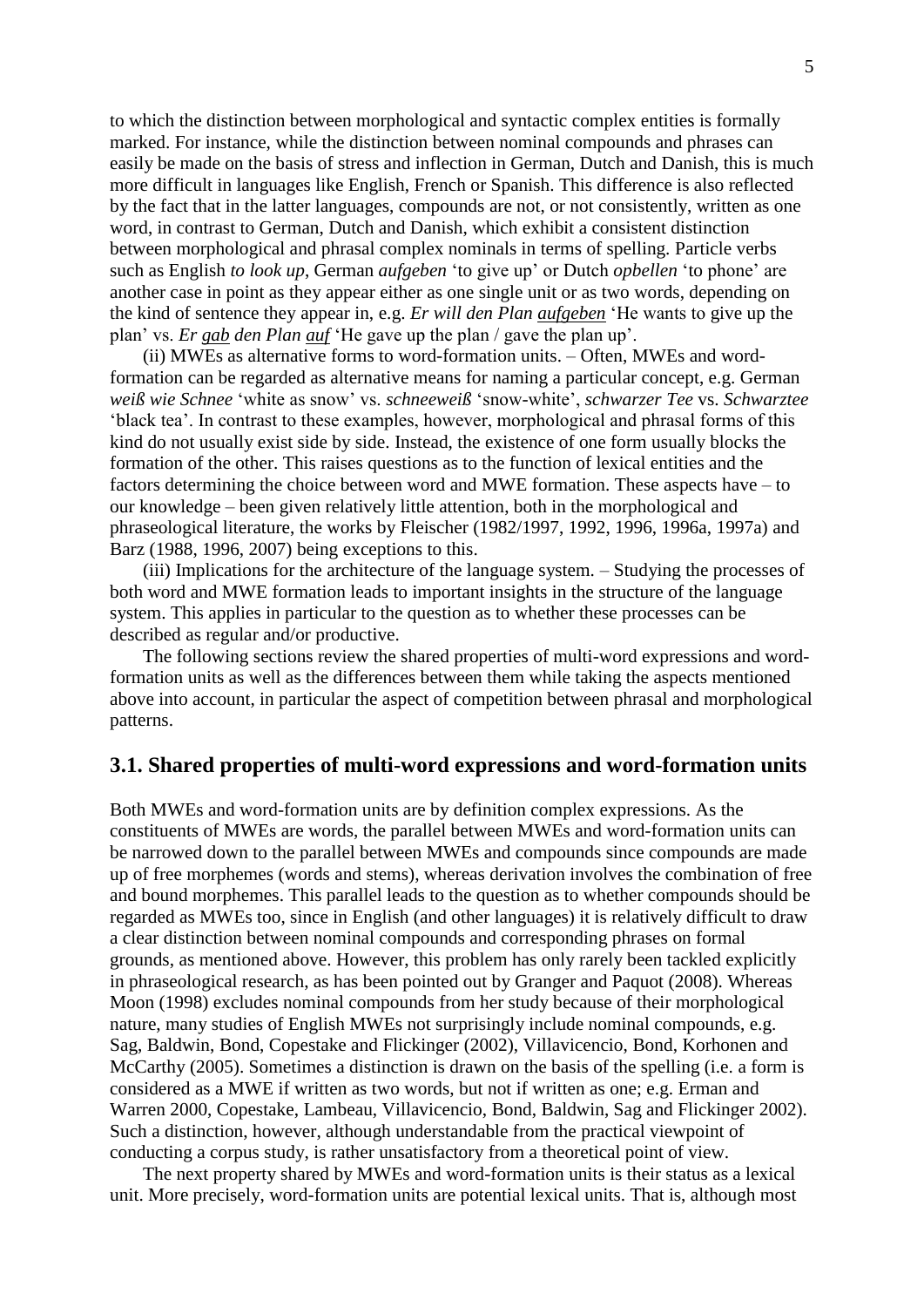to which the distinction between morphological and syntactic complex entities is formally marked. For instance, while the distinction between nominal compounds and phrases can easily be made on the basis of stress and inflection in German, Dutch and Danish, this is much more difficult in languages like English, French or Spanish. This difference is also reflected by the fact that in the latter languages, compounds are not, or not consistently, written as one word, in contrast to German, Dutch and Danish, which exhibit a consistent distinction between morphological and phrasal complex nominals in terms of spelling. Particle verbs such as English *to look up*, German *aufgeben* "to give up" or Dutch *opbellen* "to phone" are another case in point as they appear either as one single unit or as two words, depending on the kind of sentence they appear in, e.g. *Er will den Plan aufgeben* "He wants to give up the plan" vs. *Er gab den Plan auf* "He gave up the plan / gave the plan up".

(ii) MWEs as alternative forms to word-formation units. – Often, MWEs and wordformation can be regarded as alternative means for naming a particular concept, e.g. German *weiß wie Schnee* "white as snow" vs. *schneeweiß* "snow-white", *schwarzer Tee* vs. *Schwarztee* "black tea". In contrast to these examples, however, morphological and phrasal forms of this kind do not usually exist side by side. Instead, the existence of one form usually blocks the formation of the other. This raises questions as to the function of lexical entities and the factors determining the choice between word and MWE formation. These aspects have – to our knowledge – been given relatively little attention, both in the morphological and phraseological literature, the works by Fleischer (1982/1997, 1992, 1996, 1996a, 1997a) and Barz (1988, 1996, 2007) being exceptions to this.

(iii) Implications for the architecture of the language system. – Studying the processes of both word and MWE formation leads to important insights in the structure of the language system. This applies in particular to the question as to whether these processes can be described as regular and/or productive.

The following sections review the shared properties of multi-word expressions and wordformation units as well as the differences between them while taking the aspects mentioned above into account, in particular the aspect of competition between phrasal and morphological patterns.

#### **3.1. Shared properties of multi-word expressions and word-formation units**

Both MWEs and word-formation units are by definition complex expressions. As the constituents of MWEs are words, the parallel between MWEs and word-formation units can be narrowed down to the parallel between MWEs and compounds since compounds are made up of free morphemes (words and stems), whereas derivation involves the combination of free and bound morphemes. This parallel leads to the question as to whether compounds should be regarded as MWEs too, since in English (and other languages) it is relatively difficult to draw a clear distinction between nominal compounds and corresponding phrases on formal grounds, as mentioned above. However, this problem has only rarely been tackled explicitly in phraseological research, as has been pointed out by Granger and Paquot (2008). Whereas Moon (1998) excludes nominal compounds from her study because of their morphological nature, many studies of English MWEs not surprisingly include nominal compounds, e.g. Sag, Baldwin, Bond, Copestake and Flickinger (2002), Villavicencio, Bond, Korhonen and McCarthy (2005). Sometimes a distinction is drawn on the basis of the spelling (i.e. a form is considered as a MWE if written as two words, but not if written as one; e.g. Erman and Warren 2000, Copestake, Lambeau, Villavicencio, Bond, Baldwin, Sag and Flickinger 2002). Such a distinction, however, although understandable from the practical viewpoint of conducting a corpus study, is rather unsatisfactory from a theoretical point of view.

The next property shared by MWEs and word-formation units is their status as a lexical unit. More precisely, word-formation units are potential lexical units. That is, although most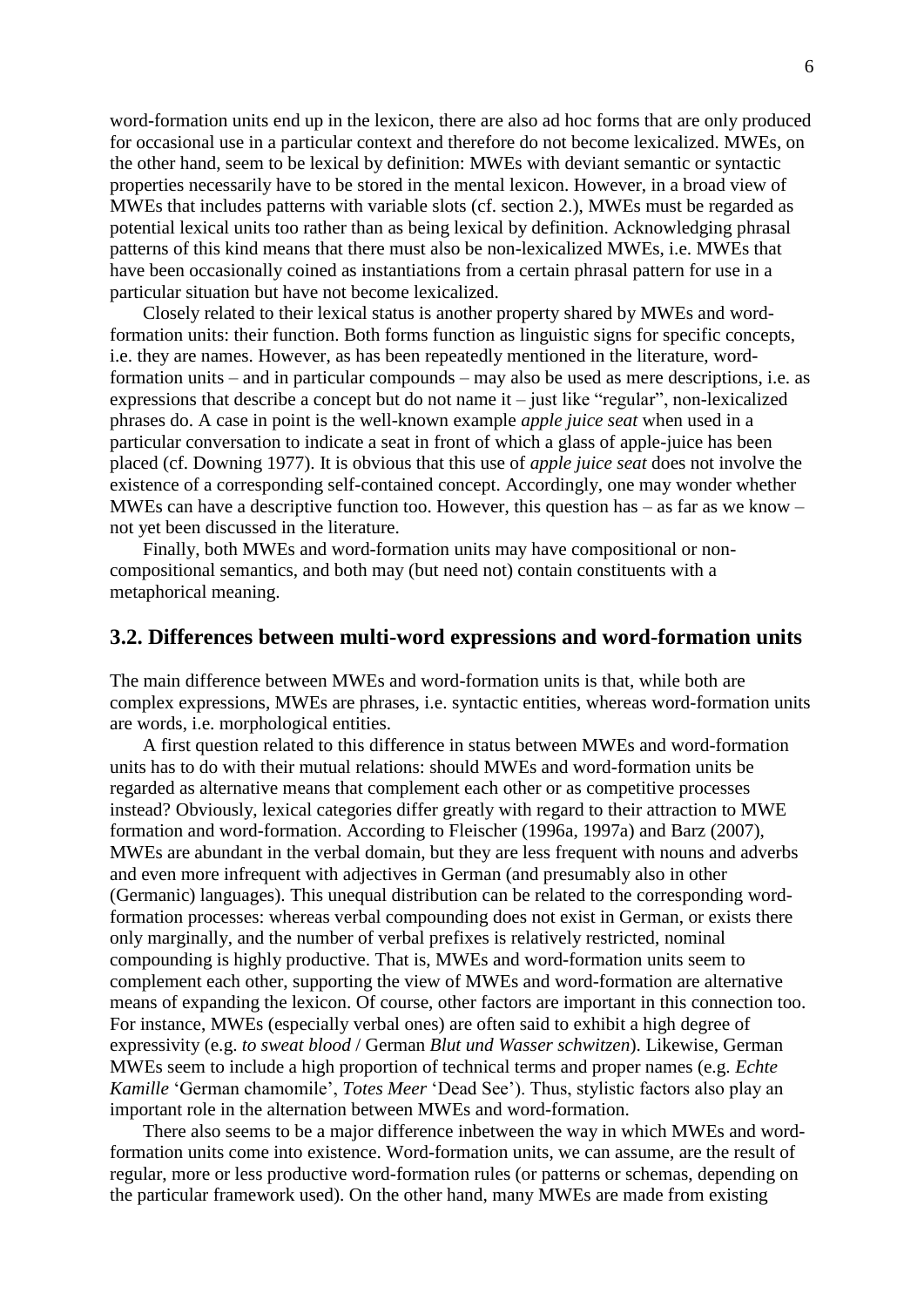word-formation units end up in the lexicon, there are also ad hoc forms that are only produced for occasional use in a particular context and therefore do not become lexicalized. MWEs, on the other hand, seem to be lexical by definition: MWEs with deviant semantic or syntactic properties necessarily have to be stored in the mental lexicon. However, in a broad view of MWEs that includes patterns with variable slots (cf. section 2.), MWEs must be regarded as potential lexical units too rather than as being lexical by definition. Acknowledging phrasal patterns of this kind means that there must also be non-lexicalized MWEs, i.e. MWEs that have been occasionally coined as instantiations from a certain phrasal pattern for use in a particular situation but have not become lexicalized.

Closely related to their lexical status is another property shared by MWEs and wordformation units: their function. Both forms function as linguistic signs for specific concepts, i.e. they are names. However, as has been repeatedly mentioned in the literature, wordformation units – and in particular compounds – may also be used as mere descriptions, i.e. as expressions that describe a concept but do not name it – just like "regular", non-lexicalized phrases do. A case in point is the well-known example *apple juice seat* when used in a particular conversation to indicate a seat in front of which a glass of apple-juice has been placed (cf. Downing 1977). It is obvious that this use of *apple juice seat* does not involve the existence of a corresponding self-contained concept. Accordingly, one may wonder whether MWEs can have a descriptive function too. However, this question has – as far as we know – not yet been discussed in the literature.

Finally, both MWEs and word-formation units may have compositional or noncompositional semantics, and both may (but need not) contain constituents with a metaphorical meaning.

## **3.2. Differences between multi-word expressions and word-formation units**

The main difference between MWEs and word-formation units is that, while both are complex expressions, MWEs are phrases, i.e. syntactic entities, whereas word-formation units are words, i.e. morphological entities.

A first question related to this difference in status between MWEs and word-formation units has to do with their mutual relations: should MWEs and word-formation units be regarded as alternative means that complement each other or as competitive processes instead? Obviously, lexical categories differ greatly with regard to their attraction to MWE formation and word-formation. According to Fleischer (1996a, 1997a) and Barz (2007), MWEs are abundant in the verbal domain, but they are less frequent with nouns and adverbs and even more infrequent with adjectives in German (and presumably also in other (Germanic) languages). This unequal distribution can be related to the corresponding wordformation processes: whereas verbal compounding does not exist in German, or exists there only marginally, and the number of verbal prefixes is relatively restricted, nominal compounding is highly productive. That is, MWEs and word-formation units seem to complement each other, supporting the view of MWEs and word-formation are alternative means of expanding the lexicon. Of course, other factors are important in this connection too. For instance, MWEs (especially verbal ones) are often said to exhibit a high degree of expressivity (e.g. *to sweat blood* / German *Blut und Wasser schwitzen*). Likewise, German MWEs seem to include a high proportion of technical terms and proper names (e.g. *Echte Kamille* 'German chamomile', *Totes Meer* 'Dead See'). Thus, stylistic factors also play an important role in the alternation between MWEs and word-formation.

There also seems to be a major difference inbetween the way in which MWEs and wordformation units come into existence. Word-formation units, we can assume, are the result of regular, more or less productive word-formation rules (or patterns or schemas, depending on the particular framework used). On the other hand, many MWEs are made from existing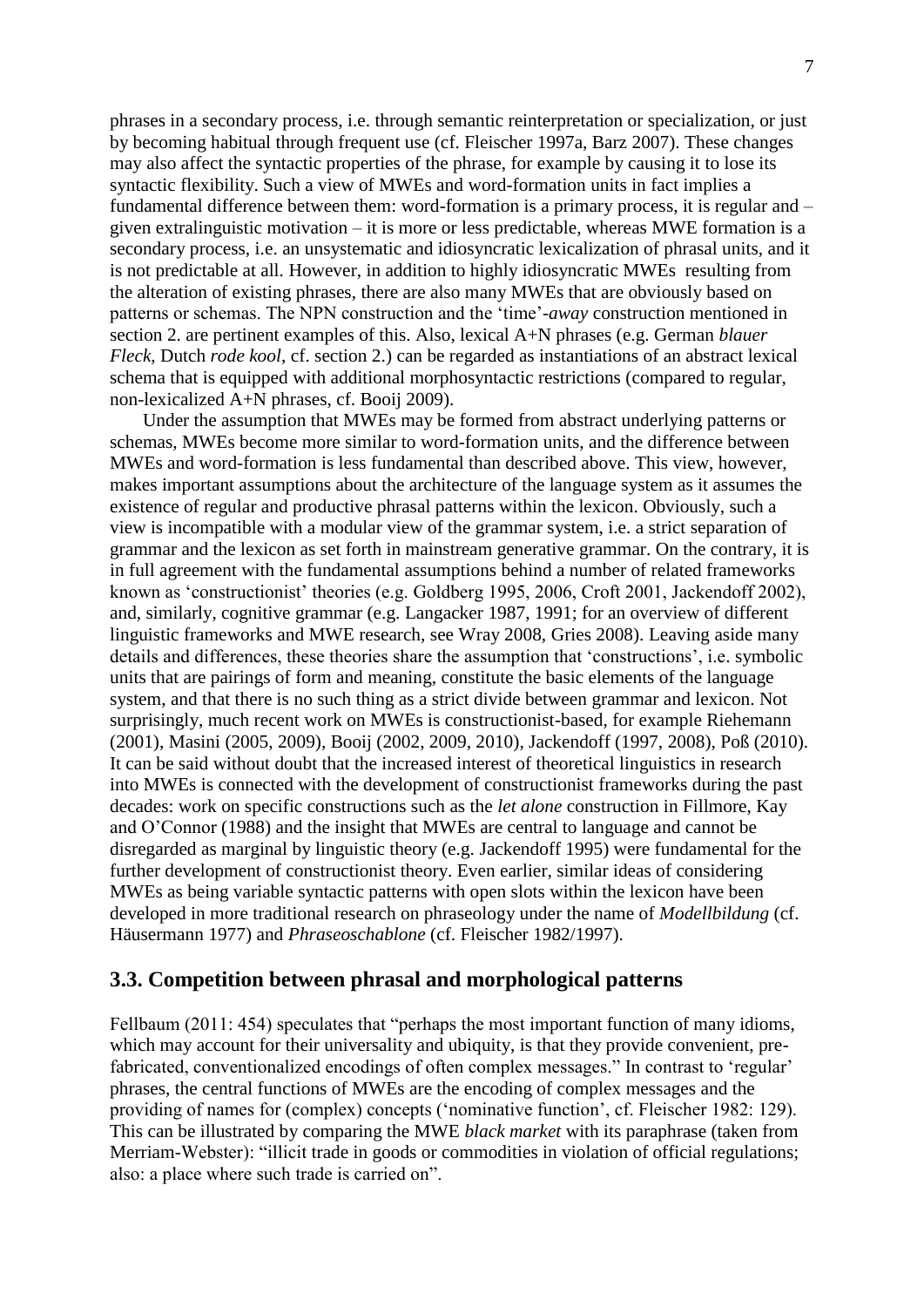phrases in a secondary process, i.e. through semantic reinterpretation or specialization, or just by becoming habitual through frequent use (cf. Fleischer 1997a, Barz 2007). These changes may also affect the syntactic properties of the phrase, for example by causing it to lose its syntactic flexibility. Such a view of MWEs and word-formation units in fact implies a fundamental difference between them: word-formation is a primary process, it is regular and – given extralinguistic motivation – it is more or less predictable, whereas MWE formation is a secondary process, i.e. an unsystematic and idiosyncratic lexicalization of phrasal units, and it is not predictable at all. However, in addition to highly idiosyncratic MWEs resulting from the alteration of existing phrases, there are also many MWEs that are obviously based on patterns or schemas. The NPN construction and the "time"-*away* construction mentioned in section 2. are pertinent examples of this. Also, lexical A+N phrases (e.g. German *blauer Fleck*, Dutch *rode kool*, cf. section 2.) can be regarded as instantiations of an abstract lexical schema that is equipped with additional morphosyntactic restrictions (compared to regular, non-lexicalized A+N phrases, cf. Booij 2009).

Under the assumption that MWEs may be formed from abstract underlying patterns or schemas, MWEs become more similar to word-formation units, and the difference between MWEs and word-formation is less fundamental than described above. This view, however, makes important assumptions about the architecture of the language system as it assumes the existence of regular and productive phrasal patterns within the lexicon. Obviously, such a view is incompatible with a modular view of the grammar system, i.e. a strict separation of grammar and the lexicon as set forth in mainstream generative grammar. On the contrary, it is in full agreement with the fundamental assumptions behind a number of related frameworks known as 'constructionist' theories (e.g. Goldberg 1995, 2006, Croft 2001, Jackendoff 2002), and, similarly, cognitive grammar (e.g. Langacker 1987, 1991; for an overview of different linguistic frameworks and MWE research, see Wray 2008, Gries 2008). Leaving aside many details and differences, these theories share the assumption that "constructions", i.e. symbolic units that are pairings of form and meaning, constitute the basic elements of the language system, and that there is no such thing as a strict divide between grammar and lexicon. Not surprisingly, much recent work on MWEs is constructionist-based, for example Riehemann (2001), Masini (2005, 2009), Booij (2002, 2009, 2010), Jackendoff (1997, 2008), Poß (2010). It can be said without doubt that the increased interest of theoretical linguistics in research into MWEs is connected with the development of constructionist frameworks during the past decades: work on specific constructions such as the *let alone* construction in Fillmore, Kay and O"Connor (1988) and the insight that MWEs are central to language and cannot be disregarded as marginal by linguistic theory (e.g. Jackendoff 1995) were fundamental for the further development of constructionist theory. Even earlier, similar ideas of considering MWEs as being variable syntactic patterns with open slots within the lexicon have been developed in more traditional research on phraseology under the name of *Modellbildung* (cf. Häusermann 1977) and *Phraseoschablone* (cf. Fleischer 1982/1997).

## **3.3. Competition between phrasal and morphological patterns**

Fellbaum (2011: 454) speculates that "perhaps the most important function of many idioms, which may account for their universality and ubiquity, is that they provide convenient, prefabricated, conventionalized encodings of often complex messages." In contrast to 'regular' phrases, the central functions of MWEs are the encoding of complex messages and the providing of names for (complex) concepts ("nominative function", cf. Fleischer 1982: 129). This can be illustrated by comparing the MWE *black market* with its paraphrase (taken from Merriam-Webster): "illicit trade in goods or commodities in violation of official regulations; also: a place where such trade is carried on".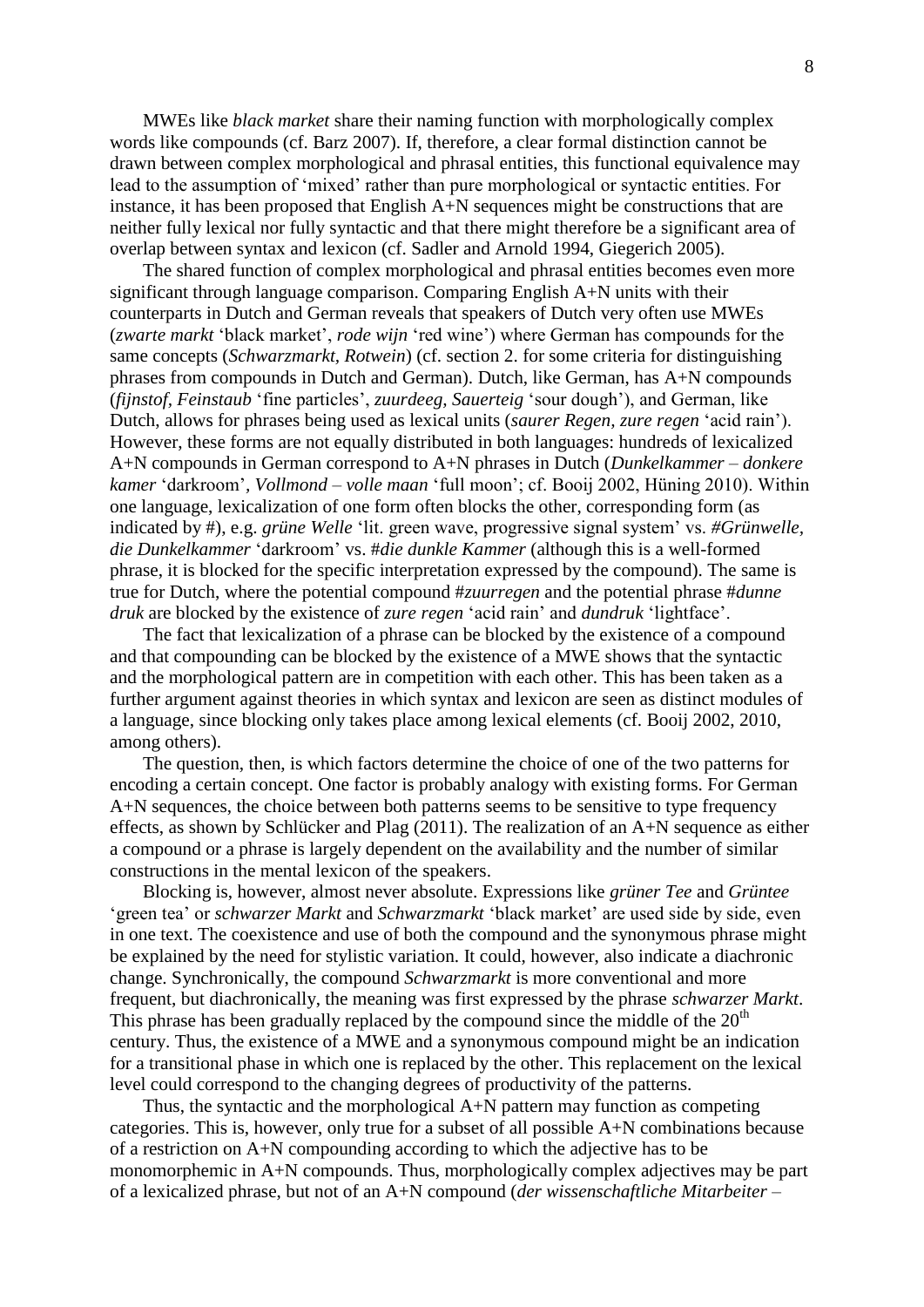MWEs like *black market* share their naming function with morphologically complex words like compounds (cf. Barz 2007). If, therefore, a clear formal distinction cannot be drawn between complex morphological and phrasal entities, this functional equivalence may lead to the assumption of "mixed" rather than pure morphological or syntactic entities. For instance, it has been proposed that English A+N sequences might be constructions that are neither fully lexical nor fully syntactic and that there might therefore be a significant area of overlap between syntax and lexicon (cf. Sadler and Arnold 1994, Giegerich 2005).

The shared function of complex morphological and phrasal entities becomes even more significant through language comparison. Comparing English A+N units with their counterparts in Dutch and German reveals that speakers of Dutch very often use MWEs (*zwarte markt* "black market", *rode wijn* "red wine") where German has compounds for the same concepts (*Schwarzmarkt, Rotwein*) (cf. section 2. for some criteria for distinguishing phrases from compounds in Dutch and German). Dutch, like German, has A+N compounds (*fijnstof, Feinstaub* "fine particles", *zuurdeeg, Sauerteig* "sour dough"), and German, like Dutch, allows for phrases being used as lexical units (*saurer Regen, zure regen* "acid rain"). However, these forms are not equally distributed in both languages: hundreds of lexicalized A+N compounds in German correspond to A+N phrases in Dutch (*Dunkelkammer – donkere kamer* "darkroom"*, Vollmond – volle maan* "full moon"; cf. Booij 2002, Hüning 2010). Within one language, lexicalization of one form often blocks the other, corresponding form (as indicated by #), e.g. *grüne Welle* 'lit. green wave, progressive signal system' vs. #Grünwelle, *die Dunkelkammer* "darkroom" vs. #*die dunkle Kammer* (although this is a well-formed phrase, it is blocked for the specific interpretation expressed by the compound). The same is true for Dutch, where the potential compound #*zuurregen* and the potential phrase #*dunne druk* are blocked by the existence of *zure regen* "acid rain" and *dundruk* "lightface".

The fact that lexicalization of a phrase can be blocked by the existence of a compound and that compounding can be blocked by the existence of a MWE shows that the syntactic and the morphological pattern are in competition with each other. This has been taken as a further argument against theories in which syntax and lexicon are seen as distinct modules of a language, since blocking only takes place among lexical elements (cf. Booij 2002, 2010, among others).

The question, then, is which factors determine the choice of one of the two patterns for encoding a certain concept. One factor is probably analogy with existing forms. For German A+N sequences, the choice between both patterns seems to be sensitive to type frequency effects, as shown by Schlücker and Plag (2011). The realization of an A+N sequence as either a compound or a phrase is largely dependent on the availability and the number of similar constructions in the mental lexicon of the speakers.

Blocking is, however, almost never absolute. Expressions like *grüner Tee* and *Grüntee* "green tea" or *schwarzer Markt* and *Schwarzmarkt* "black market" are used side by side, even in one text. The coexistence and use of both the compound and the synonymous phrase might be explained by the need for stylistic variation. It could, however, also indicate a diachronic change. Synchronically, the compound *Schwarzmarkt* is more conventional and more frequent, but diachronically, the meaning was first expressed by the phrase *schwarzer Markt*. This phrase has been gradually replaced by the compound since the middle of the  $20<sup>th</sup>$ century. Thus, the existence of a MWE and a synonymous compound might be an indication for a transitional phase in which one is replaced by the other. This replacement on the lexical level could correspond to the changing degrees of productivity of the patterns.

Thus, the syntactic and the morphological A+N pattern may function as competing categories. This is, however, only true for a subset of all possible A+N combinations because of a restriction on A+N compounding according to which the adjective has to be monomorphemic in A+N compounds. Thus, morphologically complex adjectives may be part of a lexicalized phrase, but not of an A+N compound (*der wissenschaftliche Mitarbeiter –*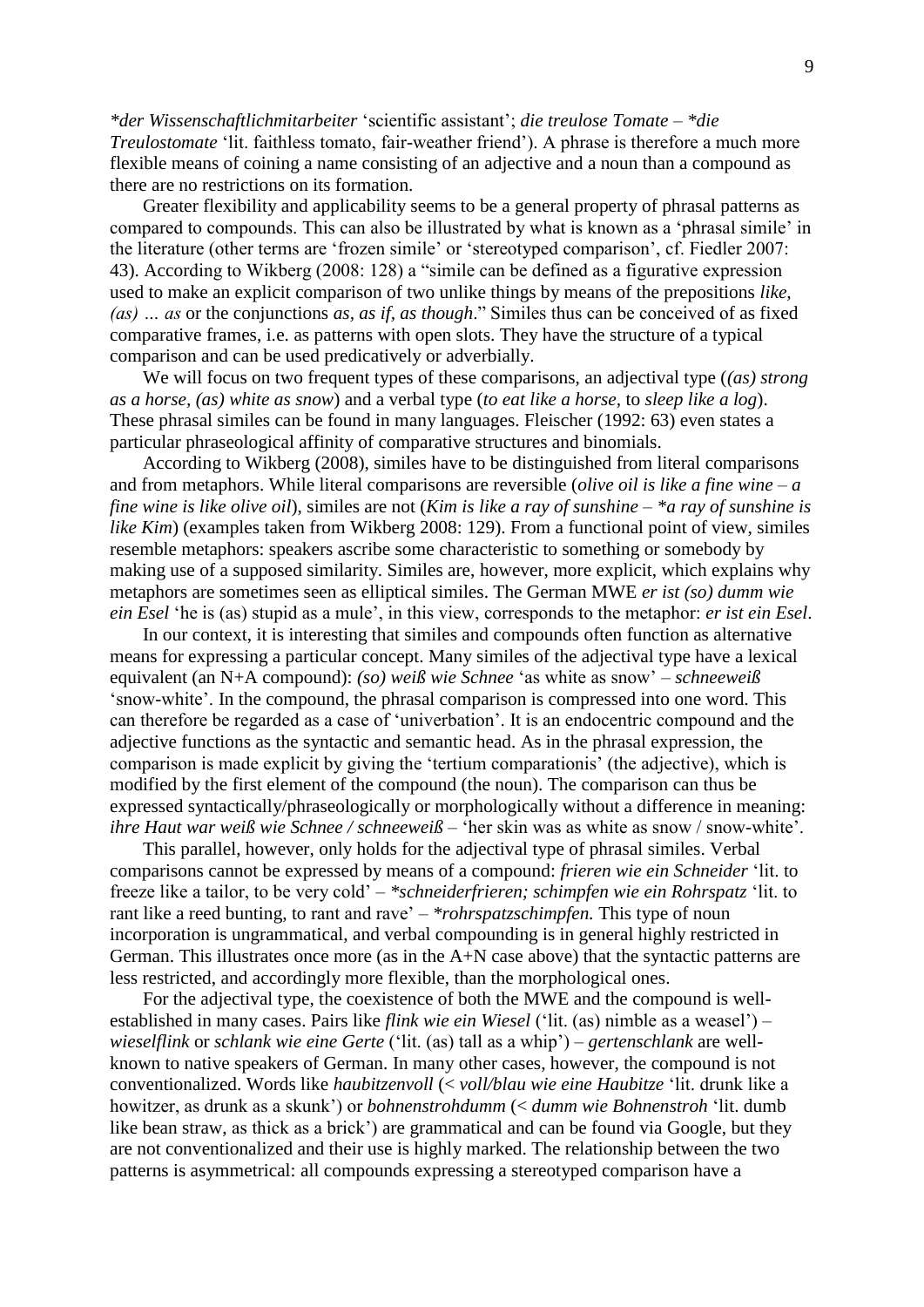*\*der Wissenschaftlichmitarbeiter* "scientific assistant"; *die treulose Tomate – \*die Treulostomate* "lit. faithless tomato, fair-weather friend"). A phrase is therefore a much more flexible means of coining a name consisting of an adjective and a noun than a compound as there are no restrictions on its formation.

Greater flexibility and applicability seems to be a general property of phrasal patterns as compared to compounds. This can also be illustrated by what is known as a "phrasal simile" in the literature (other terms are "frozen simile" or "stereotyped comparison", cf. Fiedler 2007: 43). According to Wikberg (2008: 128) a "simile can be defined as a figurative expression used to make an explicit comparison of two unlike things by means of the prepositions *like, (as) … as* or the conjunctions *as, as if, as though*." Similes thus can be conceived of as fixed comparative frames, i.e. as patterns with open slots. They have the structure of a typical comparison and can be used predicatively or adverbially.

We will focus on two frequent types of these comparisons, an adjectival type (*(as) strong as a horse, (as) white as snow*) and a verbal type (*to eat like a horse,* to *sleep like a log*). These phrasal similes can be found in many languages. Fleischer (1992: 63) even states a particular phraseological affinity of comparative structures and binomials.

According to Wikberg (2008), similes have to be distinguished from literal comparisons and from metaphors. While literal comparisons are reversible (*olive oil is like a fine wine – a fine wine is like olive oil*), similes are not (*Kim is like a ray of sunshine – \*a ray of sunshine is like Kim*) (examples taken from Wikberg 2008: 129). From a functional point of view, similes resemble metaphors: speakers ascribe some characteristic to something or somebody by making use of a supposed similarity. Similes are, however, more explicit, which explains why metaphors are sometimes seen as elliptical similes. The German MWE *er ist (so) dumm wie ein Esel* "he is (as) stupid as a mule", in this view, corresponds to the metaphor: *er ist ein Esel*.

In our context, it is interesting that similes and compounds often function as alternative means for expressing a particular concept. Many similes of the adjectival type have a lexical equivalent (an N+A compound): *(so) weiß wie Schnee* "as white as snow" – *schneeweiß* 'snow-white'. In the compound, the phrasal comparison is compressed into one word. This can therefore be regarded as a case of "univerbation". It is an endocentric compound and the adjective functions as the syntactic and semantic head. As in the phrasal expression, the comparison is made explicit by giving the "tertium comparationis" (the adjective), which is modified by the first element of the compound (the noun). The comparison can thus be expressed syntactically/phraseologically or morphologically without a difference in meaning: *ihre Haut war weiß wie Schnee / schneeweiß* – 'her skin was as white as snow / snow-white'.

This parallel, however, only holds for the adjectival type of phrasal similes. Verbal comparisons cannot be expressed by means of a compound: *frieren wie ein Schneider* "lit. to freeze like a tailor, to be very cold" *– \*schneiderfrieren; schimpfen wie ein Rohrspatz* "lit. to rant like a reed bunting, to rant and rave' – *\*rohrspatzschimpfen*. This type of noun incorporation is ungrammatical, and verbal compounding is in general highly restricted in German. This illustrates once more (as in the A+N case above) that the syntactic patterns are less restricted, and accordingly more flexible, than the morphological ones.

For the adjectival type, the coexistence of both the MWE and the compound is wellestablished in many cases. Pairs like *flink wie ein Wiesel* ("lit. (as) nimble as a weasel") *– wieselflink* or *schlank wie eine Gerte* ("lit. (as) tall as a whip") – *gertenschlank* are wellknown to native speakers of German. In many other cases, however, the compound is not conventionalized. Words like *haubitzenvoll* (< *voll/blau wie eine Haubitze* "lit. drunk like a howitzer, as drunk as a skunk") or *bohnenstrohdumm* (< *dumm wie Bohnenstroh* "lit. dumb like bean straw, as thick as a brick') are grammatical and can be found via Google, but they are not conventionalized and their use is highly marked. The relationship between the two patterns is asymmetrical: all compounds expressing a stereotyped comparison have a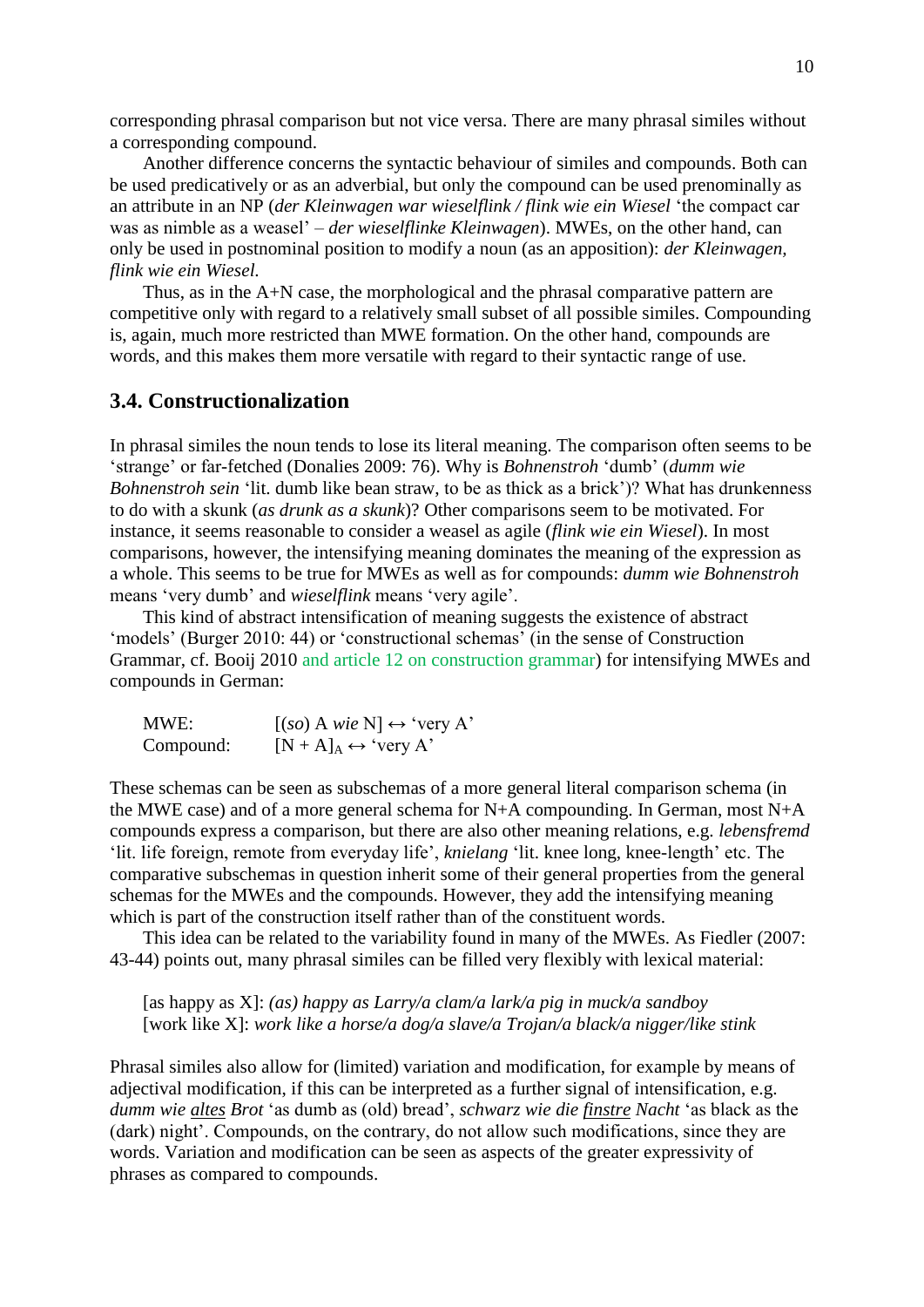corresponding phrasal comparison but not vice versa. There are many phrasal similes without a corresponding compound.

Another difference concerns the syntactic behaviour of similes and compounds. Both can be used predicatively or as an adverbial, but only the compound can be used prenominally as an attribute in an NP (*der Kleinwagen war wieselflink / flink wie ein Wiesel* "the compact car was as nimble as a weasel" – *der wieselflinke Kleinwagen*). MWEs, on the other hand, can only be used in postnominal position to modify a noun (as an apposition): *der Kleinwagen, flink wie ein Wiesel.*

Thus, as in the A+N case, the morphological and the phrasal comparative pattern are competitive only with regard to a relatively small subset of all possible similes. Compounding is, again, much more restricted than MWE formation. On the other hand, compounds are words, and this makes them more versatile with regard to their syntactic range of use.

### **3.4. Constructionalization**

In phrasal similes the noun tends to lose its literal meaning. The comparison often seems to be "strange" or far-fetched (Donalies 2009: 76). Why is *Bohnenstroh* "dumb" (*dumm wie Bohnenstroh sein* "lit. dumb like bean straw, to be as thick as a brick")? What has drunkenness to do with a skunk (*as drunk as a skunk*)? Other comparisons seem to be motivated. For instance, it seems reasonable to consider a weasel as agile (*flink wie ein Wiesel*). In most comparisons, however, the intensifying meaning dominates the meaning of the expression as a whole. This seems to be true for MWEs as well as for compounds: *dumm wie Bohnenstroh* means "very dumb" and *wieselflink* means "very agile".

This kind of abstract intensification of meaning suggests the existence of abstract 'models' (Burger 2010: 44) or 'constructional schemas' (in the sense of Construction Grammar, cf. Booij 2010 and article 12 on construction grammar) for intensifying MWEs and compounds in German:

| MWE:      | $[(so)$ A wie N $] \leftrightarrow '$ very A' |
|-----------|-----------------------------------------------|
| Compound: | $[N + A]_A \leftrightarrow 'very A'$          |

These schemas can be seen as subschemas of a more general literal comparison schema (in the MWE case) and of a more general schema for N+A compounding. In German, most N+A compounds express a comparison, but there are also other meaning relations, e.g. *lebensfremd*  "lit. life foreign, remote from everyday life", *knielang* "lit. knee long, knee-length" etc. The comparative subschemas in question inherit some of their general properties from the general schemas for the MWEs and the compounds. However, they add the intensifying meaning which is part of the construction itself rather than of the constituent words.

This idea can be related to the variability found in many of the MWEs. As Fiedler (2007: 43-44) points out, many phrasal similes can be filled very flexibly with lexical material:

[as happy as X]: *(as) happy as Larry/a clam/a lark/a pig in muck/a sandboy* [work like X]: *work like a horse/a dog/a slave/a Trojan/a black/a nigger/like stink*

Phrasal similes also allow for (limited) variation and modification, for example by means of adjectival modification, if this can be interpreted as a further signal of intensification, e.g. *dumm wie altes Brot* "as dumb as (old) bread", *schwarz wie die finstre Nacht* "as black as the (dark) night'. Compounds, on the contrary, do not allow such modifications, since they are words. Variation and modification can be seen as aspects of the greater expressivity of phrases as compared to compounds.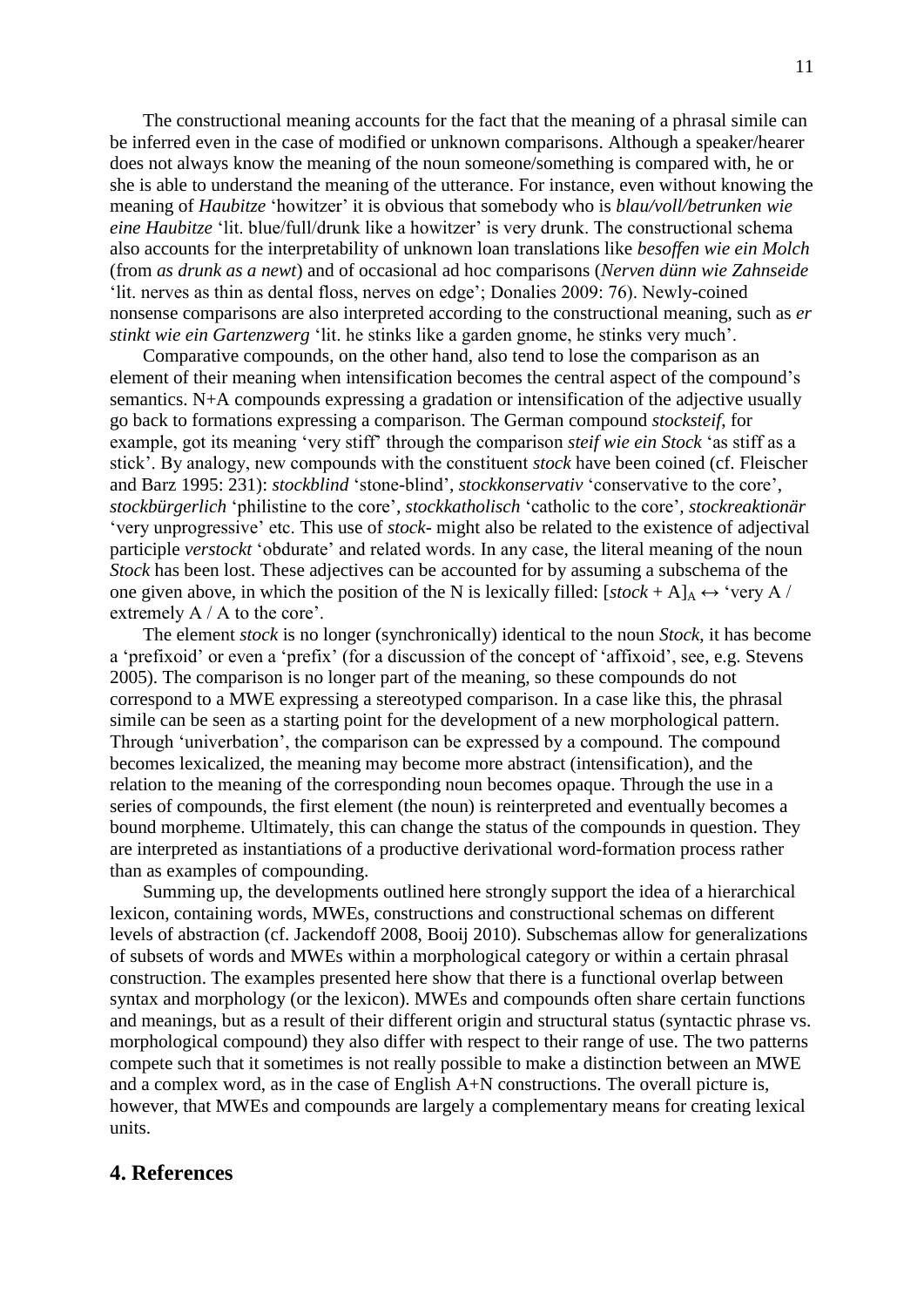The constructional meaning accounts for the fact that the meaning of a phrasal simile can be inferred even in the case of modified or unknown comparisons. Although a speaker/hearer does not always know the meaning of the noun someone/something is compared with, he or she is able to understand the meaning of the utterance. For instance, even without knowing the meaning of *Haubitze* "howitzer" it is obvious that somebody who is *blau/voll/betrunken wie eine Haubitze* 'lit. blue/full/drunk like a howitzer' is very drunk. The constructional schema also accounts for the interpretability of unknown loan translations like *besoffen wie ein Molch* (from *as drunk as a newt*) and of occasional ad hoc comparisons (*Nerven dünn wie Zahnseide*  "lit. nerves as thin as dental floss, nerves on edge"; Donalies 2009: 76). Newly-coined nonsense comparisons are also interpreted according to the constructional meaning, such as *er stinkt wie ein Gartenzwerg* 'lit. he stinks like a garden gnome, he stinks very much'.

Comparative compounds, on the other hand, also tend to lose the comparison as an element of their meaning when intensification becomes the central aspect of the compound"s semantics. N+A compounds expressing a gradation or intensification of the adjective usually go back to formations expressing a comparison. The German compound *stocksteif*, for example, got its meaning "very stiff" through the comparison *steif wie ein Stock* "as stiff as a stick". By analogy, new compounds with the constituent *stock* have been coined (cf. Fleischer and Barz 1995: 231): *stockblind* "stone-blind"*, stockkonservativ* "conservative to the core", *stockbürgerlich* "philistine to the core"*, stockkatholisch* "catholic to the core"*, stockreaktionär* "very unprogressive" etc. This use of *stock*- might also be related to the existence of adjectival participle *verstockt* 'obdurate' and related words. In any case, the literal meaning of the noun *Stock* has been lost. These adjectives can be accounted for by assuming a subschema of the one given above, in which the position of the N is lexically filled:  $[stock + A]_A \leftrightarrow 'very A$ extremely  $A / A$  to the core'.

The element *stock* is no longer (synchronically) identical to the noun *Stock*, it has become a 'prefixoid' or even a 'prefix' (for a discussion of the concept of 'affixoid', see, e.g. Stevens 2005). The comparison is no longer part of the meaning, so these compounds do not correspond to a MWE expressing a stereotyped comparison. In a case like this, the phrasal simile can be seen as a starting point for the development of a new morphological pattern. Through "univerbation", the comparison can be expressed by a compound. The compound becomes lexicalized, the meaning may become more abstract (intensification), and the relation to the meaning of the corresponding noun becomes opaque. Through the use in a series of compounds, the first element (the noun) is reinterpreted and eventually becomes a bound morpheme. Ultimately, this can change the status of the compounds in question. They are interpreted as instantiations of a productive derivational word-formation process rather than as examples of compounding.

Summing up, the developments outlined here strongly support the idea of a hierarchical lexicon, containing words, MWEs, constructions and constructional schemas on different levels of abstraction (cf. Jackendoff 2008, Booij 2010). Subschemas allow for generalizations of subsets of words and MWEs within a morphological category or within a certain phrasal construction. The examples presented here show that there is a functional overlap between syntax and morphology (or the lexicon). MWEs and compounds often share certain functions and meanings, but as a result of their different origin and structural status (syntactic phrase vs. morphological compound) they also differ with respect to their range of use. The two patterns compete such that it sometimes is not really possible to make a distinction between an MWE and a complex word, as in the case of English A+N constructions. The overall picture is, however, that MWEs and compounds are largely a complementary means for creating lexical units.

### **4. References**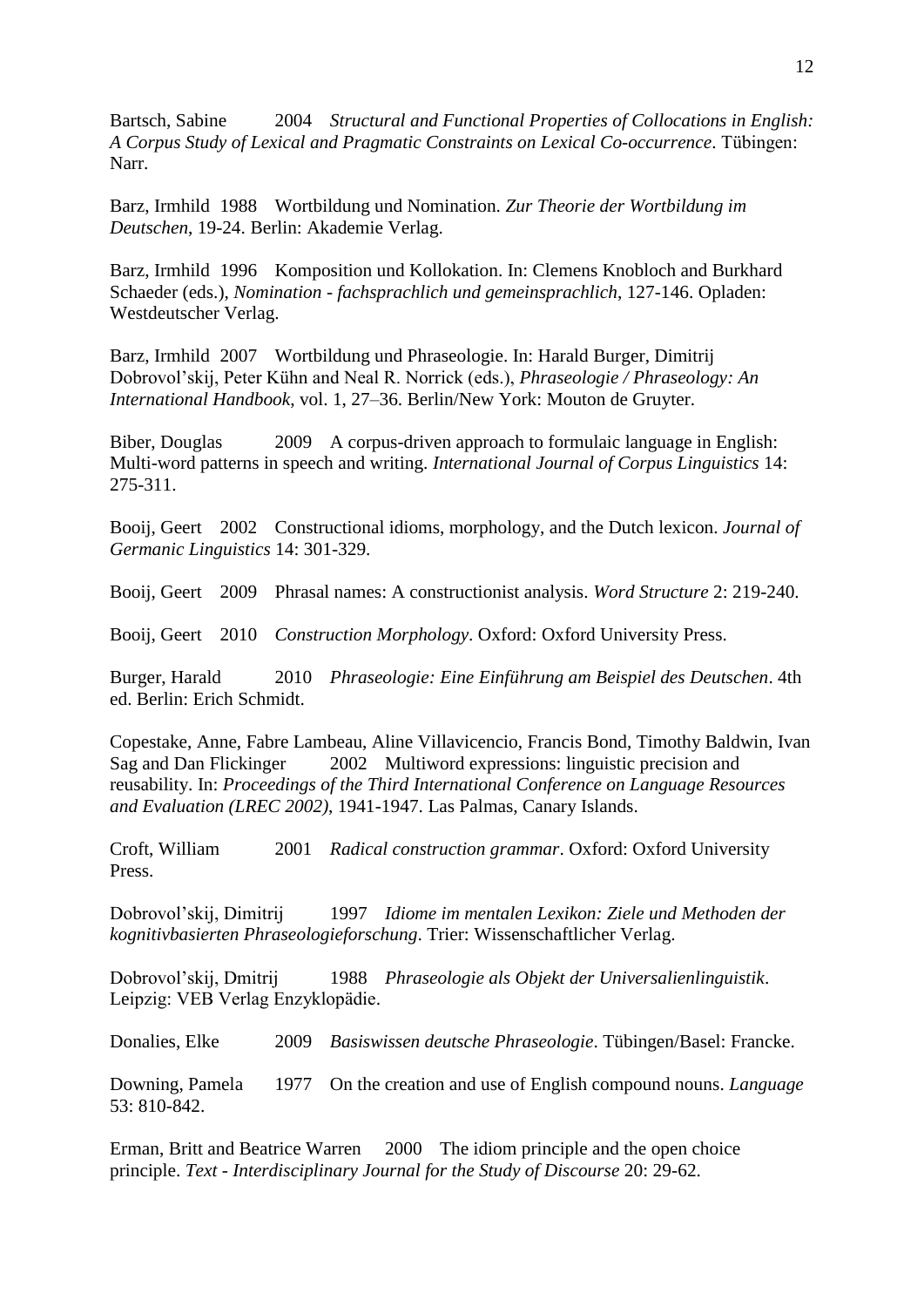Bartsch, Sabine 2004 *Structural and Functional Properties of Collocations in English: A Corpus Study of Lexical and Pragmatic Constraints on Lexical Co-occurrence*. Tübingen: Narr.

Barz, Irmhild 1988 Wortbildung und Nomination. *Zur Theorie der Wortbildung im Deutschen*, 19-24. Berlin: Akademie Verlag.

Barz, Irmhild 1996 Komposition und Kollokation. In: Clemens Knobloch and Burkhard Schaeder (eds.), *Nomination - fachsprachlich und gemeinsprachlich*, 127-146. Opladen: Westdeutscher Verlag.

Barz, Irmhild 2007 Wortbildung und Phraseologie. In: Harald Burger, Dimitrij Dobrovol"skij, Peter Kühn and Neal R. Norrick (eds.), *Phraseologie / Phraseology: An International Handbook*, vol. 1, 27–36. Berlin/New York: Mouton de Gruyter.

Biber, Douglas 2009 A corpus-driven approach to formulaic language in English: Multi-word patterns in speech and writing. *International Journal of Corpus Linguistics* 14: 275-311.

Booij, Geert 2002 Constructional idioms, morphology, and the Dutch lexicon. *Journal of Germanic Linguistics* 14: 301-329.

Booij, Geert 2009 Phrasal names: A constructionist analysis. *Word Structure* 2: 219-240.

Booij, Geert 2010 *Construction Morphology*. Oxford: Oxford University Press.

Burger, Harald 2010 *Phraseologie: Eine Einführung am Beispiel des Deutschen*. 4th ed. Berlin: Erich Schmidt.

Copestake, Anne, Fabre Lambeau, Aline Villavicencio, Francis Bond, Timothy Baldwin, Ivan Sag and Dan Flickinger 2002 Multiword expressions: linguistic precision and reusability. In: *Proceedings of the Third International Conference on Language Resources and Evaluation (LREC 2002)*, 1941-1947. Las Palmas, Canary Islands.

Croft, William 2001 *Radical construction grammar*. Oxford: Oxford University Press.

Dobrovol"skij, Dimitrij 1997 *Idiome im mentalen Lexikon: Ziele und Methoden der kognitivbasierten Phraseologieforschung*. Trier: Wissenschaftlicher Verlag.

Dobrovol"skij, Dmitrij 1988 *Phraseologie als Objekt der Universalienlinguistik*. Leipzig: VEB Verlag Enzyklopädie.

Donalies, Elke 2009 *Basiswissen deutsche Phraseologie*. Tübingen/Basel: Francke.

Downing, Pamela 1977 On the creation and use of English compound nouns. *Language* 53: 810-842.

Erman, Britt and Beatrice Warren 2000 The idiom principle and the open choice principle. *Text - Interdisciplinary Journal for the Study of Discourse* 20: 29-62.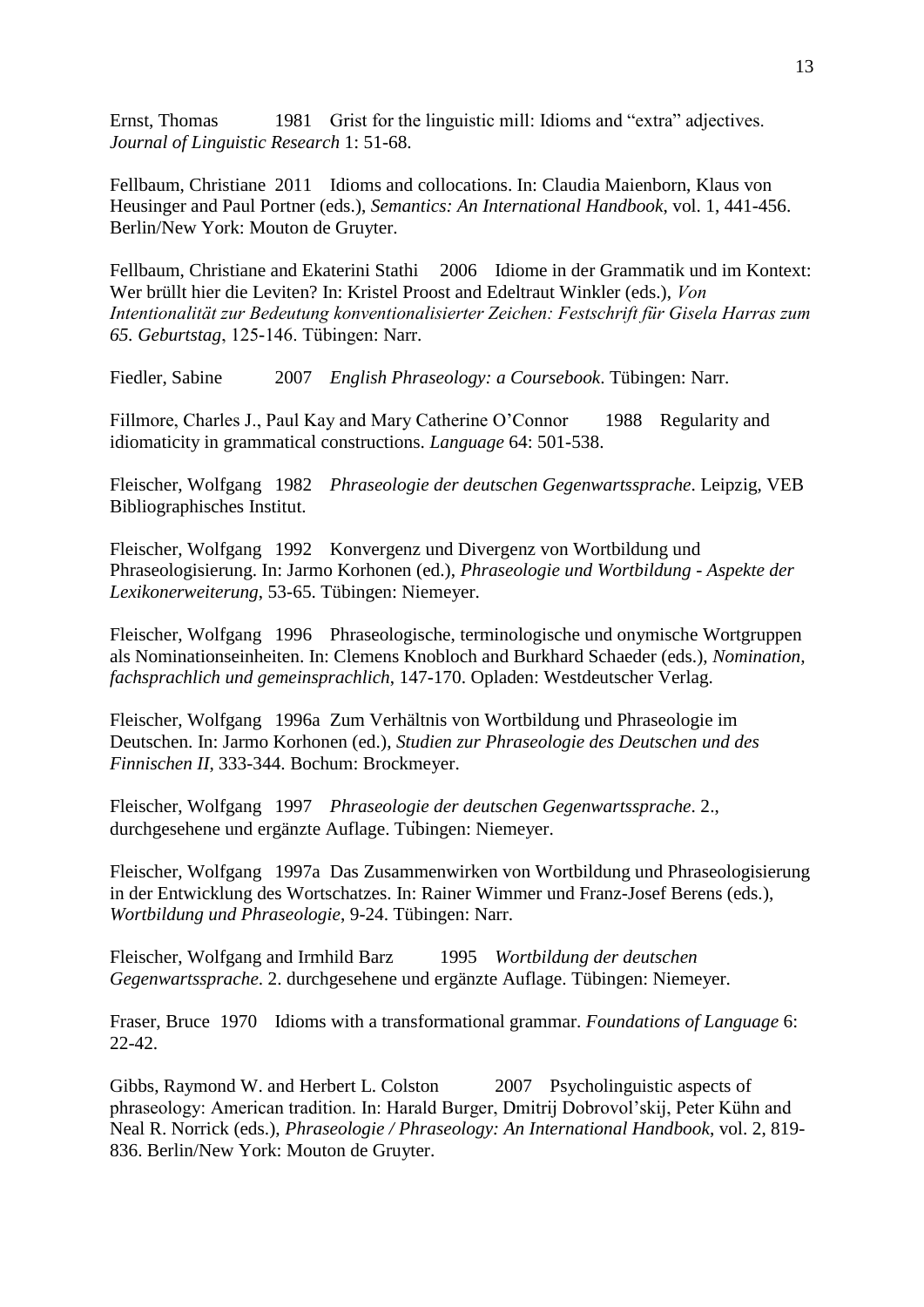Ernst, Thomas 1981 Grist for the linguistic mill: Idioms and "extra" adjectives. *Journal of Linguistic Research* 1: 51-68.

Fellbaum, Christiane 2011 Idioms and collocations. In: Claudia Maienborn, Klaus von Heusinger and Paul Portner (eds.), *Semantics: An International Handbook*, vol. 1, 441-456. Berlin/New York: Mouton de Gruyter.

Fellbaum, Christiane and Ekaterini Stathi 2006 Idiome in der Grammatik und im Kontext: Wer brüllt hier die Leviten? In: Kristel Proost and Edeltraut Winkler (eds.), *Von* Intentionalität zur Bedeutung konventionalisierter Zeichen: Festschrift für Gisela Harras zum *65. Geburtstag*, 125-146. Tübingen: Narr.

Fiedler, Sabine 2007 *English Phraseology: a Coursebook*. Tübingen: Narr.

Fillmore, Charles J., Paul Kay and Mary Catherine O"Connor 1988 Regularity and idiomaticity in grammatical constructions. *Language* 64: 501-538.

Fleischer, Wolfgang 1982 *Phraseologie der deutschen Gegenwartssprache*. Leipzig, VEB Bibliographisches Institut.

Fleischer, Wolfgang 1992 Konvergenz und Divergenz von Wortbildung und Phraseologisierung. In: Jarmo Korhonen (ed.), *Phraseologie und Wortbildung - Aspekte der Lexikonerweiterung*, 53-65. Tübingen: Niemeyer.

Fleischer, Wolfgang 1996 Phraseologische, terminologische und onymische Wortgruppen als Nominationseinheiten. In: Clemens Knobloch and Burkhard Schaeder (eds.), *Nomination, fachsprachlich und gemeinsprachlich*, 147-170. Opladen: Westdeutscher Verlag.

Fleischer, Wolfgang 1996a Zum Verhältnis von Wortbildung und Phraseologie im Deutschen. In: Jarmo Korhonen (ed.), *Studien zur Phraseologie des Deutschen und des Finnischen II*, 333-344. Bochum: Brockmeyer.

Fleischer, Wolfgang 1997 *Phraseologie der deutschen Gegenwartssprache*. 2., durchgesehene und ergänzte Auflage. Tubingen: Niemeyer.

Fleischer, Wolfgang 1997a Das Zusammenwirken von Wortbildung und Phraseologisierung in der Entwicklung des Wortschatzes. In: Rainer Wimmer und Franz-Josef Berens (eds.), *Wortbildung und Phraseologie*, 9-24. Tübingen: Narr.

Fleischer, Wolfgang and Irmhild Barz 1995 *Wortbildung der deutschen Gegenwartssprache*. 2. durchgesehene und ergänzte Auflage. Tübingen: Niemeyer.

Fraser, Bruce 1970 Idioms with a transformational grammar. *Foundations of Language* 6: 22-42.

Gibbs, Raymond W. and Herbert L. Colston 2007 Psycholinguistic aspects of phraseology: American tradition. In: Harald Burger, Dmitrij Dobrovol"skij, Peter Kühn and Neal R. Norrick (eds.), *Phraseologie / Phraseology: An International Handbook*, vol. 2, 819- 836. Berlin/New York: Mouton de Gruyter.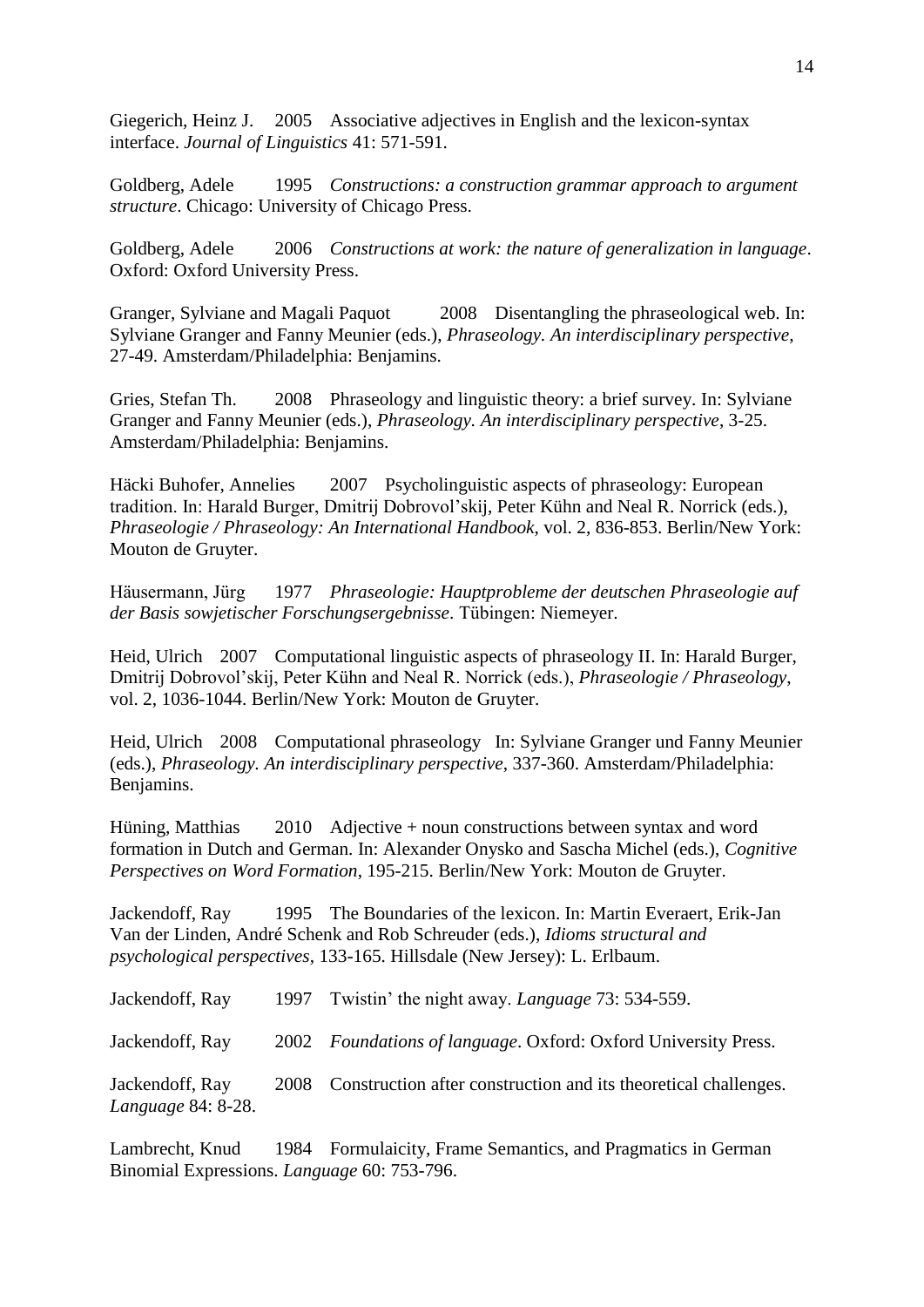Giegerich, Heinz J. 2005 Associative adjectives in English and the lexicon-syntax interface. *Journal of Linguistics* 41: 571-591.

Goldberg, Adele 1995 *Constructions: a construction grammar approach to argument structure*. Chicago: University of Chicago Press.

Goldberg, Adele 2006 *Constructions at work: the nature of generalization in language*. Oxford: Oxford University Press.

Granger, Sylviane and Magali Paquot 2008 Disentangling the phraseological web. In: Sylviane Granger and Fanny Meunier (eds.), *Phraseology. An interdisciplinary perspective*, 27-49. Amsterdam/Philadelphia: Benjamins.

Gries, Stefan Th. 2008 Phraseology and linguistic theory: a brief survey. In: Sylviane Granger and Fanny Meunier (eds.), *Phraseology. An interdisciplinary perspective*, 3-25. Amsterdam/Philadelphia: Benjamins.

Häcki Buhofer, Annelies 2007 Psycholinguistic aspects of phraseology: European tradition. In: Harald Burger, Dmitrij Dobrovol"skij, Peter Kühn and Neal R. Norrick (eds.), *Phraseologie / Phraseology: An International Handbook*, vol. 2, 836-853. Berlin/New York: Mouton de Gruyter.

H usermann, Jürg 1977 *Phraseologie: Hauptprobleme der deutschen Phraseologie auf der Basis sowjetischer Forschungsergebnisse*. Tübingen: Niemeyer.

Heid, Ulrich 2007 Computational linguistic aspects of phraseology II. In: Harald Burger, Dmitrij Dobrovol"skij, Peter Kühn and Neal R. Norrick (eds.), *Phraseologie / Phraseology*, vol. 2, 1036-1044. Berlin/New York: Mouton de Gruyter.

Heid, Ulrich 2008 Computational phraseology In: Sylviane Granger und Fanny Meunier (eds.), *Phraseology. An interdisciplinary perspective*, 337-360. Amsterdam/Philadelphia: Benjamins.

Hüning, Matthias 2010 Adjective + noun constructions between syntax and word formation in Dutch and German. In: Alexander Onysko and Sascha Michel (eds.), *Cognitive Perspectives on Word Formation*, 195-215. Berlin/New York: Mouton de Gruyter.

Jackendoff, Ray 1995 The Boundaries of the lexicon. In: Martin Everaert, Erik-Jan Van der Linden, André Schenk and Rob Schreuder (eds.), *Idioms structural and psychological perspectives*, 133-165. Hillsdale (New Jersey): L. Erlbaum.

Jackendoff, Ray 1997 Twistin" the night away. *Language* 73: 534-559. Jackendoff, Ray 2002 *Foundations of language*. Oxford: Oxford University Press. Jackendoff, Ray 2008 Construction after construction and its theoretical challenges. *Language* 84: 8-28.

Lambrecht, Knud 1984 Formulaicity, Frame Semantics, and Pragmatics in German Binomial Expressions. *Language* 60: 753-796.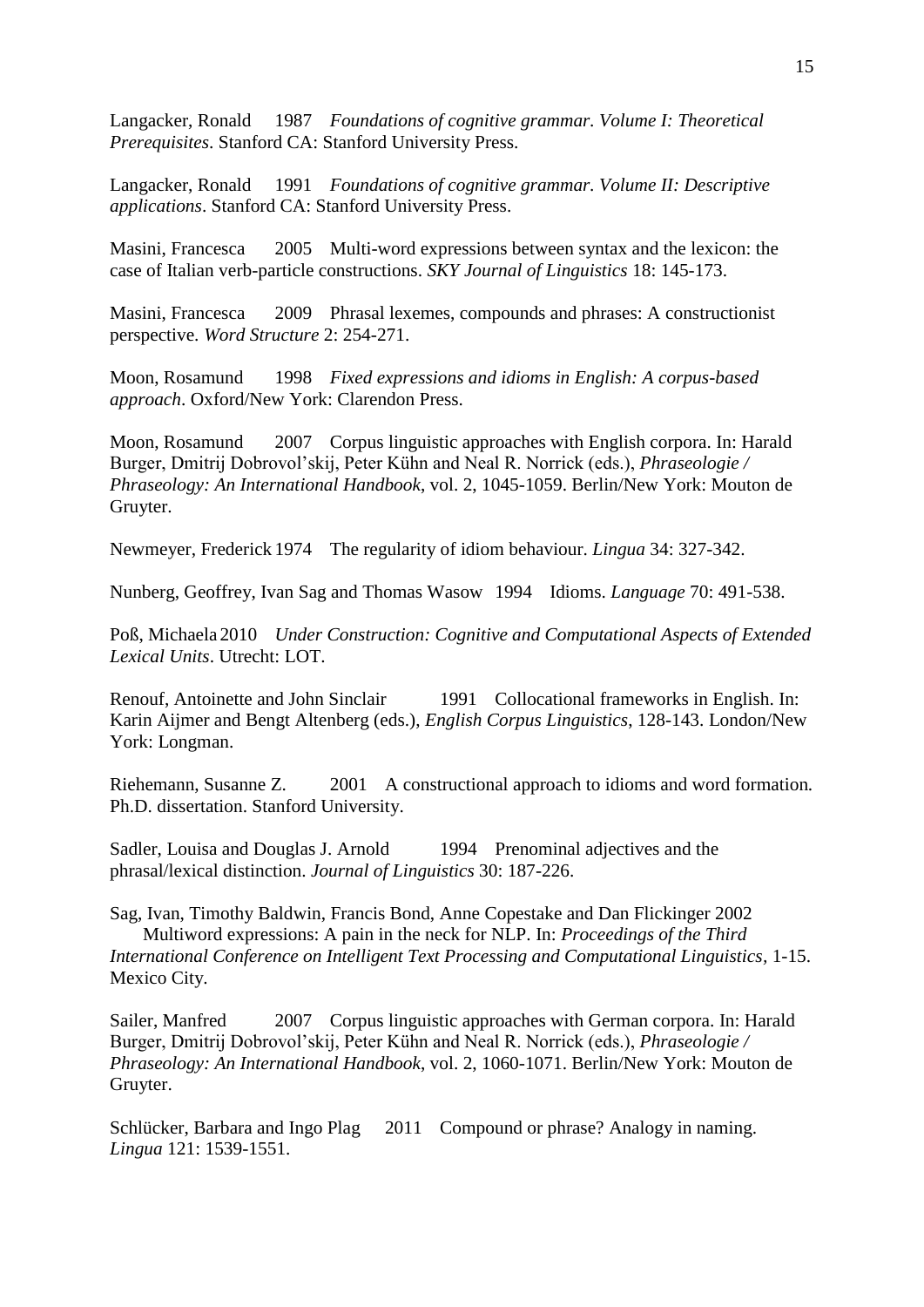Langacker, Ronald 1987 *Foundations of cognitive grammar. Volume I: Theoretical Prerequisites*. Stanford CA: Stanford University Press.

Langacker, Ronald 1991 *Foundations of cognitive grammar. Volume II: Descriptive applications*. Stanford CA: Stanford University Press.

Masini, Francesca 2005 Multi-word expressions between syntax and the lexicon: the case of Italian verb-particle constructions. *SKY Journal of Linguistics* 18: 145-173.

Masini, Francesca 2009 Phrasal lexemes, compounds and phrases: A constructionist perspective. *Word Structure* 2: 254-271.

Moon, Rosamund 1998 *Fixed expressions and idioms in English: A corpus-based approach*. Oxford/New York: Clarendon Press.

Moon, Rosamund 2007 Corpus linguistic approaches with English corpora. In: Harald Burger, Dmitrij Dobrovol"skij, Peter Kühn and Neal R. Norrick (eds.), *Phraseologie / Phraseology: An International Handbook*, vol. 2, 1045-1059. Berlin/New York: Mouton de Gruyter.

Newmeyer, Frederick 1974 The regularity of idiom behaviour. *Lingua* 34: 327-342.

Nunberg, Geoffrey, Ivan Sag and Thomas Wasow 1994 Idioms. *Language* 70: 491-538.

Poß, Michaela 2010 *Under Construction: Cognitive and Computational Aspects of Extended Lexical Units*. Utrecht: LOT.

Renouf, Antoinette and John Sinclair 1991 Collocational frameworks in English. In: Karin Aijmer and Bengt Altenberg (eds.), *English Corpus Linguistics*, 128-143. London/New York: Longman.

Riehemann, Susanne Z. 2001 A constructional approach to idioms and word formation*.* Ph.D. dissertation. Stanford University.

Sadler, Louisa and Douglas J. Arnold 1994 Prenominal adjectives and the phrasal/lexical distinction. *Journal of Linguistics* 30: 187-226.

Sag, Ivan, Timothy Baldwin, Francis Bond, Anne Copestake and Dan Flickinger 2002 Multiword expressions: A pain in the neck for NLP. In: *Proceedings of the Third International Conference on Intelligent Text Processing and Computational Linguistics,* 1-15. Mexico City.

Sailer, Manfred 2007 Corpus linguistic approaches with German corpora. In: Harald Burger, Dmitrij Dobrovol"skij, Peter Kühn and Neal R. Norrick (eds.), *Phraseologie / Phraseology: An International Handbook*, vol. 2, 1060-1071. Berlin/New York: Mouton de Gruyter.

Schlücker, Barbara and Ingo Plag 2011 Compound or phrase? Analogy in naming. *Lingua* 121: 1539-1551.